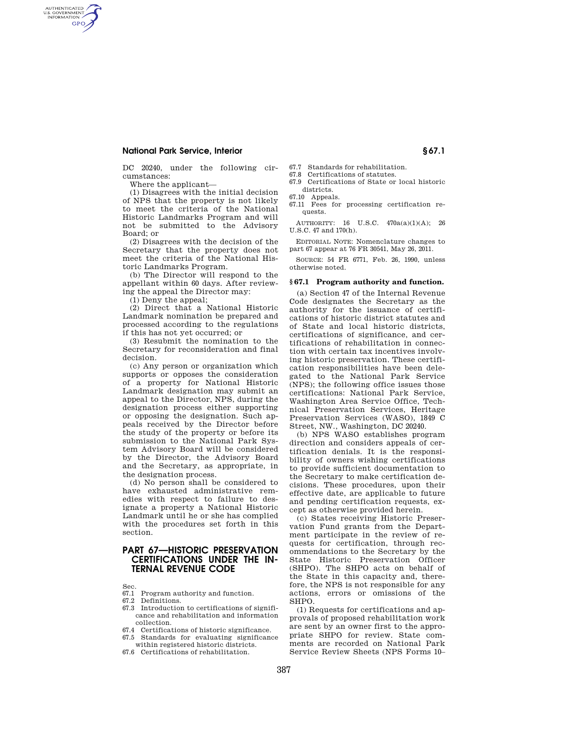DC 20240, under the following circumstances:

Where the applicant—

AUTHENTICATED<br>U.S. GOVERNMENT<br>INFORMATION **GPO** 

> (1) Disagrees with the initial decision of NPS that the property is not likely to meet the criteria of the National Historic Landmarks Program and will not be submitted to the Advisory Board; or

> (2) Disagrees with the decision of the Secretary that the property does not meet the criteria of the National Historic Landmarks Program.

> (b) The Director will respond to the appellant within 60 days. After reviewing the appeal the Director may:

(1) Deny the appeal;

(2) Direct that a National Historic Landmark nomination be prepared and processed according to the regulations if this has not yet occurred; or

(3) Resubmit the nomination to the Secretary for reconsideration and final decision.

(c) Any person or organization which supports or opposes the consideration of a property for National Historic Landmark designation may submit an appeal to the Director, NPS, during the designation process either supporting or opposing the designation. Such appeals received by the Director before the study of the property or before its submission to the National Park System Advisory Board will be considered by the Director, the Advisory Board and the Secretary, as appropriate, in the designation process.

(d) No person shall be considered to have exhausted administrative remedies with respect to failure to designate a property a National Historic Landmark until he or she has complied with the procedures set forth in this section.

# **PART 67—HISTORIC PRESERVATION CERTIFICATIONS UNDER THE IN-TERNAL REVENUE CODE**

Sec.

67.1 Program authority and function.

67.2 Definitions.

- 67.3 Introduction to certifications of significance and rehabilitation and information collection.
- 67.4 Certifications of historic significance.
- 67.5 Standards for evaluating significance within registered historic districts.
- 67.6 Certifications of rehabilitation.

67.7 Standards for rehabilitation.

- 67.8 Certifications of statutes.
- 67.9 Certifications of State or local historic

districts. 67.10 Appeals.

67.11 Fees for processing certification requests.

AUTHORITY: 16 U.S.C. 470a(a)(1)(A); 26 U.S.C. 47 and 170(h).

EDITORIAL NOTE: Nomenclature changes to part 67 appear at 76 FR 30541, May 26, 2011.

SOURCE: 54 FR 6771, Feb. 26, 1990, unless otherwise noted.

#### **§ 67.1 Program authority and function.**

(a) Section 47 of the Internal Revenue Code designates the Secretary as the authority for the issuance of certifications of historic district statutes and of State and local historic districts, certifications of significance, and certifications of rehabilitation in connection with certain tax incentives involving historic preservation. These certification responsibilities have been delegated to the National Park Service (NPS); the following office issues those certifications: National Park Service, Washington Area Service Office, Technical Preservation Services, Heritage Preservation Services (WASO), 1849 C Street, NW., Washington, DC 20240.

(b) NPS WASO establishes program direction and considers appeals of certification denials. It is the responsibility of owners wishing certifications to provide sufficient documentation to the Secretary to make certification decisions. These procedures, upon their effective date, are applicable to future and pending certification requests, except as otherwise provided herein.

(c) States receiving Historic Preservation Fund grants from the Department participate in the review of requests for certification, through recommendations to the Secretary by the State Historic Preservation Officer (SHPO). The SHPO acts on behalf of the State in this capacity and, therefore, the NPS is not responsible for any actions, errors or omissions of the SHPO.

(1) Requests for certifications and approvals of proposed rehabilitation work are sent by an owner first to the appropriate SHPO for review. State comments are recorded on National Park Service Review Sheets (NPS Forms 10–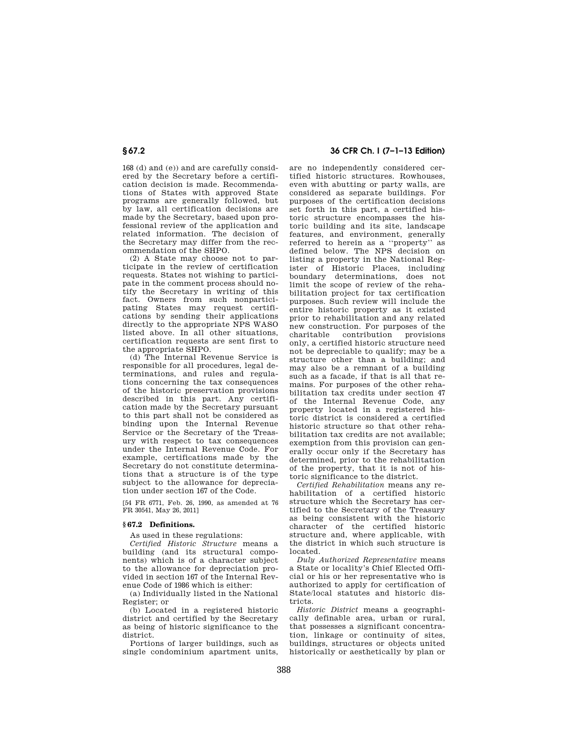168 (d) and (e)) and are carefully considered by the Secretary before a certification decision is made. Recommendations of States with approved State programs are generally followed, but by law, all certification decisions are made by the Secretary, based upon professional review of the application and related information. The decision of the Secretary may differ from the recommendation of the SHPO.

(2) A State may choose not to participate in the review of certification requests. States not wishing to participate in the comment process should notify the Secretary in writing of this fact. Owners from such nonparticipating States may request certifications by sending their applications directly to the appropriate NPS WASO listed above. In all other situations, certification requests are sent first to the appropriate SHPO.

(d) The Internal Revenue Service is responsible for all procedures, legal determinations, and rules and regulations concerning the tax consequences of the historic preservation provisions described in this part. Any certification made by the Secretary pursuant to this part shall not be considered as binding upon the Internal Revenue Service or the Secretary of the Treasury with respect to tax consequences under the Internal Revenue Code. For example, certifications made by the Secretary do not constitute determinations that a structure is of the type subject to the allowance for depreciation under section 167 of the Code.

[54 FR 6771, Feb. 26, 1990, as amended at 76 FR 30541, May 26, 2011]

## **§ 67.2 Definitions.**

As used in these regulations:

*Certified Historic Structure* means a building (and its structural components) which is of a character subject to the allowance for depreciation provided in section 167 of the Internal Revenue Code of 1986 which is either:

(a) Individually listed in the National Register; or

(b) Located in a registered historic district and certified by the Secretary as being of historic significance to the district.

Portions of larger buildings, such as single condominium apartment units,

# **§ 67.2 36 CFR Ch. I (7–1–13 Edition)**

are no independently considered certified historic structures. Rowhouses, even with abutting or party walls, are considered as separate buildings. For purposes of the certification decisions set forth in this part, a certified historic structure encompasses the historic building and its site, landscape features, and environment, generally referred to herein as a ''property'' as defined below. The NPS decision on listing a property in the National Register of Historic Places, including boundary determinations, does not limit the scope of review of the rehabilitation project for tax certification purposes. Such review will include the entire historic property as it existed prior to rehabilitation and any related new construction. For purposes of the<br>charitable contribution provisions contribution provisions only, a certified historic structure need not be depreciable to qualify; may be a structure other than a building; and may also be a remnant of a building such as a facade, if that is all that remains. For purposes of the other rehabilitation tax credits under section 47 of the Internal Revenue Code, any property located in a registered historic district is considered a certified historic structure so that other rehabilitation tax credits are not available; exemption from this provision can generally occur only if the Secretary has determined, prior to the rehabilitation of the property, that it is not of historic significance to the district.

*Certified Rehabilitation* means any rehabilitation of a certified historic structure which the Secretary has certified to the Secretary of the Treasury as being consistent with the historic character of the certified historic structure and, where applicable, with the district in which such structure is located.

*Duly Authorized Representative* means a State or locality's Chief Elected Official or his or her representative who is authorized to apply for certification of State/local statutes and historic districts.

*Historic District* means a geographically definable area, urban or rural, that possesses a significant concentration, linkage or continuity of sites buildings, structures or objects united historically or aesthetically by plan or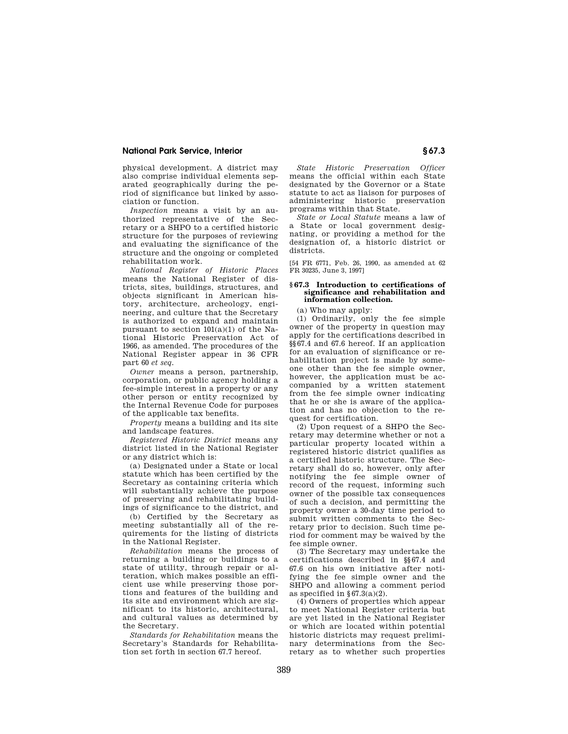physical development. A district may also comprise individual elements separated geographically during the period of significance but linked by association or function.

*Inspection* means a visit by an authorized representative of the Secretary or a SHPO to a certified historic structure for the purposes of reviewing and evaluating the significance of the structure and the ongoing or completed rehabilitation work.

*National Register of Historic Places*  means the National Register of districts, sites, buildings, structures, and objects significant in American history, architecture, archeology, engineering, and culture that the Secretary is authorized to expand and maintain pursuant to section 101(a)(1) of the National Historic Preservation Act of 1966, as amended. The procedures of the National Register appear in 36 CFR part 60 *et seq.* 

*Owner* means a person, partnership, corporation, or public agency holding a fee-simple interest in a property or any other person or entity recognized by the Internal Revenue Code for purposes of the applicable tax benefits.

*Property* means a building and its site and landscape features.

*Registered Historic District* means any district listed in the National Register or any district which is:

(a) Designated under a State or local statute which has been certified by the Secretary as containing criteria which will substantially achieve the purpose of preserving and rehabilitating buildings of significance to the district, and

(b) Certified by the Secretary as meeting substantially all of the requirements for the listing of districts in the National Register.

*Rehabilitation* means the process of returning a building or buildings to a state of utility, through repair or alteration, which makes possible an efficient use while preserving those portions and features of the building and its site and environment which are significant to its historic, architectural, and cultural values as determined by the Secretary.

*Standards for Rehabilitation* means the Secretary's Standards for Rehabilitation set forth in section 67.7 hereof.

*State Historic Preservation Officer*  means the official within each State designated by the Governor or a State statute to act as liaison for purposes of administering historic preservation programs within that State.

*State or Local Statute* means a law of a State or local government designating, or providing a method for the designation of, a historic district or districts.

[54 FR 6771, Feb. 26, 1990, as amended at 62 FR 30235, June 3, 1997]

#### **§ 67.3 Introduction to certifications of significance and rehabilitation and information collection.**

(a) Who may apply:

(1) Ordinarily, only the fee simple owner of the property in question may apply for the certifications described in §§67.4 and 67.6 hereof. If an application for an evaluation of significance or rehabilitation project is made by someone other than the fee simple owner, however, the application must be accompanied by a written statement from the fee simple owner indicating that he or she is aware of the application and has no objection to the request for certification.

(2) Upon request of a SHPO the Secretary may determine whether or not a particular property located within a registered historic district qualifies as a certified historic structure. The Secretary shall do so, however, only after notifying the fee simple owner of record of the request, informing such owner of the possible tax consequences of such a decision, and permitting the property owner a 30-day time period to submit written comments to the Secretary prior to decision. Such time period for comment may be waived by the fee simple owner.

(3) The Secretary may undertake the certifications described in §§67.4 and 67.6 on his own initiative after notifying the fee simple owner and the SHPO and allowing a comment period as specified in  $\S 67.3(a)(2)$ .

(4) Owners of properties which appear to meet National Register criteria but are yet listed in the National Register or which are located within potential historic districts may request preliminary determinations from the Secretary as to whether such properties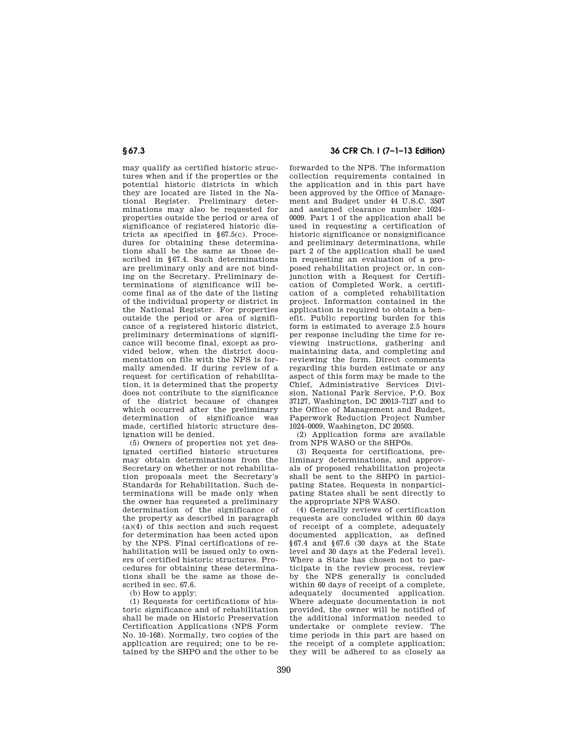may qualify as certified historic structures when and if the properties or the potential historic districts in which they are located are listed in the National Register. Preliminary determinations may also be requested for properties outside the period or area of significance of registered historic districts as specified in §67.5(c). Procedures for obtaining these determinations shall be the same as those described in §67.4. Such determinations are preliminary only and are not binding on the Secretary. Preliminary determinations of significance will become final as of the date of the listing of the individual property or district in the National Register. For properties outside the period or area of significance of a registered historic district, preliminary determinations of significance will become final, except as provided below, when the district documentation on file with the NPS is formally amended. If during review of a request for certification of rehabilitation, it is determined that the property does not contribute to the significance of the district because of changes which occurred after the preliminary determination of significance was made, certified historic structure designation will be denied.

(5) Owners of properties not yet designated certified historic structures may obtain determinations from the Secretary on whether or not rehabilitation proposals meet the Secretary's Standards for Rehabilitation. Such determinations will be made only when the owner has requested a preliminary determination of the significance of the property as described in paragraph  $(a)(4)$  of this section and such request for determination has been acted upon by the NPS. Final certifications of rehabilitation will be issued only to owners of certified historic structures. Procedures for obtaining these determinations shall be the same as those described in sec. 67.6.

(b) How to apply:

(1) Requests for certifications of historic significance and of rehabilitation shall be made on Historic Preservation Certification Applications (NPS Form No. 10–168). Normally, two copies of the application are required; one to be retained by the SHPO and the other to be

# **§ 67.3 36 CFR Ch. I (7–1–13 Edition)**

forwarded to the NPS. The information collection requirements contained in the application and in this part have been approved by the Office of Management and Budget under 44 U.S.C. 3507 and assigned clearance number 1024– 0009. Part 1 of the application shall be used in requesting a certification of historic significance or nonsignificance and preliminary determinations, while part 2 of the application shall be used in requesting an evaluation of a proposed rehabilitation project or, in conjunction with a Request for Certification of Completed Work, a certification of a completed rehabilitation project. Information contained in the application is required to obtain a benefit. Public reporting burden for this form is estimated to average 2.5 hours per response including the time for reviewing instructions, gathering and maintaining data, and completing and reviewing the form. Direct comments regarding this burden estimate or any aspect of this form may be made to the Chief, Administrative Services Division, National Park Service, P.O. Box 37127, Washington, DC 20013–7127 and to the Office of Management and Budget, Paperwork Reduction Project Number 1024–0009, Washington, DC 20503.

(2) Application forms are available from NPS WASO or the SHPOs.

(3) Requests for certifications, preliminary determinations, and approvals of proposed rehabilitation projects shall be sent to the SHPO in participating States. Requests in nonparticipating States shall be sent directly to the appropriate NPS WASO.

(4) Generally reviews of certification requests are concluded within 60 days of receipt of a complete, adequately documented application, as defined §67.4 and §67.6 (30 days at the State level and 30 days at the Federal level). Where a State has chosen not to participate in the review process, review by the NPS generally is concluded within 60 days of receipt of a complete, adequately documented application. Where adequate documentation is not provided, the owner will be notified of the additional information needed to undertake or complete review. The time periods in this part are based on the receipt of a complete application; they will be adhered to as closely as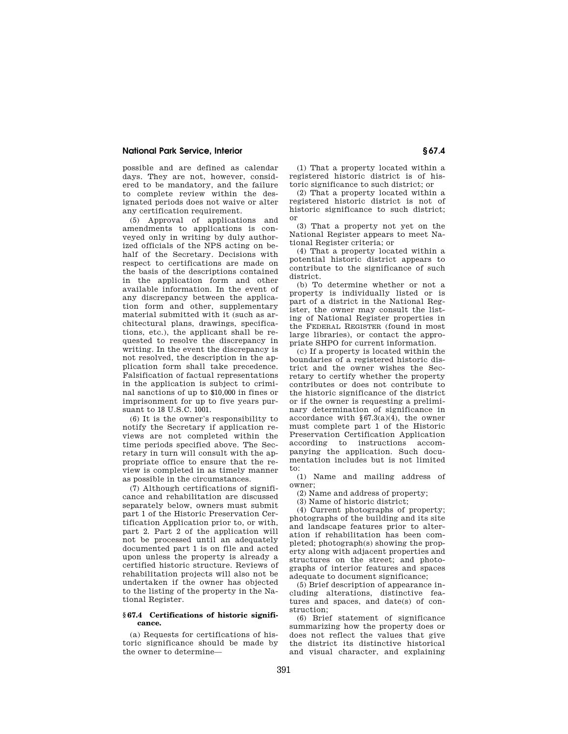possible and are defined as calendar days. They are not, however, considered to be mandatory, and the failure to complete review within the designated periods does not waive or alter any certification requirement.

(5) Approval of applications and amendments to applications is conveyed only in writing by duly authorized officials of the NPS acting on behalf of the Secretary. Decisions with respect to certifications are made on the basis of the descriptions contained in the application form and other available information. In the event of any discrepancy between the application form and other, supplementary material submitted with it (such as architectural plans, drawings, specifications, etc.), the applicant shall be requested to resolve the discrepancy in writing. In the event the discrepancy is not resolved, the description in the application form shall take precedence. Falsification of factual representations in the application is subject to criminal sanctions of up to \$10,000 in fines or imprisonment for up to five years pursuant to 18 U.S.C. 1001.

(6) It is the owner's responsibility to notify the Secretary if application reviews are not completed within the time periods specified above. The Secretary in turn will consult with the appropriate office to ensure that the review is completed in as timely manner as possible in the circumstances.

(7) Although certifications of significance and rehabilitation are discussed separately below, owners must submit part 1 of the Historic Preservation Certification Application prior to, or with, part 2. Part 2 of the application will not be processed until an adequately documented part 1 is on file and acted upon unless the property is already a certified historic structure. Reviews of rehabilitation projects will also not be undertaken if the owner has objected to the listing of the property in the National Register.

#### **§ 67.4 Certifications of historic significance.**

(a) Requests for certifications of historic significance should be made by the owner to determine—

(1) That a property located within a registered historic district is of historic significance to such district; or

(2) That a property located within a registered historic district is not of historic significance to such district; or

(3) That a property not yet on the National Register appears to meet National Register criteria; or

(4) That a property located within a potential historic district appears to contribute to the significance of such district.

(b) To determine whether or not a property is individually listed or is part of a district in the National Register, the owner may consult the listing of National Register properties in the FEDERAL REGISTER (found in most large libraries), or contact the appropriate SHPO for current information.

(c) If a property is located within the boundaries of a registered historic district and the owner wishes the Secretary to certify whether the property contributes or does not contribute to the historic significance of the district or if the owner is requesting a preliminary determination of significance in accordance with  $§67.3(a)(4)$ , the owner must complete part 1 of the Historic Preservation Certification Application according to instructions accompanying the application. Such documentation includes but is not limited to:

(1) Name and mailing address of owner;

(2) Name and address of property;

(3) Name of historic district;

(4) Current photographs of property; photographs of the building and its site and landscape features prior to alteration if rehabilitation has been completed; photograph(s) showing the property along with adjacent properties and structures on the street; and photographs of interior features and spaces adequate to document significance;

(5) Brief description of appearance including alterations, distinctive features and spaces, and date(s) of construction;

(6) Brief statement of significance summarizing how the property does or does not reflect the values that give the district its distinctive historical and visual character, and explaining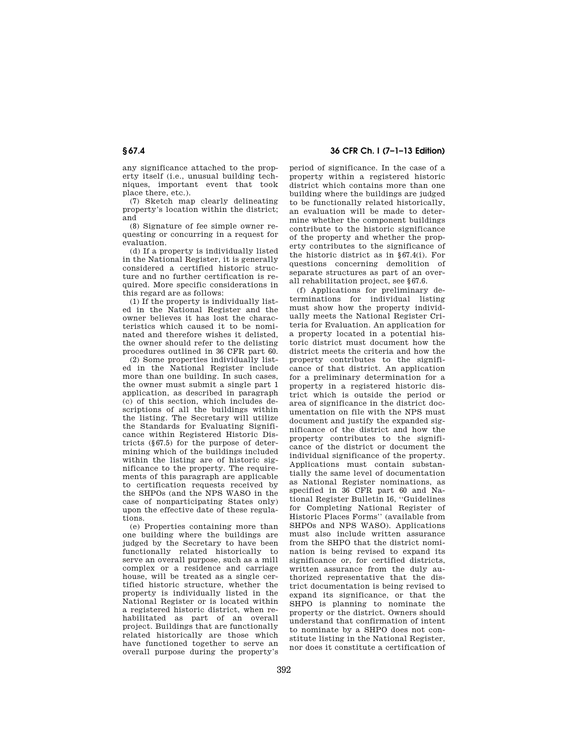any significance attached to the property itself (i.e., unusual building techniques, important event that took place there, etc.).

(7) Sketch map clearly delineating property's location within the district; and

(8) Signature of fee simple owner requesting or concurring in a request for evaluation.

(d) If a property is individually listed in the National Register, it is generally considered a certified historic structure and no further certification is required. More specific considerations in this regard are as follows:

(1) If the property is individually listed in the National Register and the owner believes it has lost the characteristics which caused it to be nominated and therefore wishes it delisted, the owner should refer to the delisting procedures outlined in 36 CFR part 60.

(2) Some properties individually listed in the National Register include more than one building. In such cases, the owner must submit a single part 1 application, as described in paragraph (c) of this section, which includes descriptions of all the buildings within the listing. The Secretary will utilize the Standards for Evaluating Significance within Registered Historic Districts (§67.5) for the purpose of determining which of the buildings included within the listing are of historic significance to the property. The requirements of this paragraph are applicable to certification requests received by the SHPOs (and the NPS WASO in the case of nonparticipating States only) upon the effective date of these regulations.

(e) Properties containing more than one building where the buildings are judged by the Secretary to have been functionally related historically to serve an overall purpose, such as a mill complex or a residence and carriage house, will be treated as a single certified historic structure, whether the property is individually listed in the National Register or is located within a registered historic district, when rehabilitated as part of an overall project. Buildings that are functionally related historically are those which have functioned together to serve an overall purpose during the property's

**§ 67.4 36 CFR Ch. I (7–1–13 Edition)** 

period of significance. In the case of a property within a registered historic district which contains more than one building where the buildings are judged to be functionally related historically, an evaluation will be made to determine whether the component buildings contribute to the historic significance of the property and whether the property contributes to the significance of the historic district as in §67.4(i). For questions concerning demolition of separate structures as part of an overall rehabilitation project, see §67.6.

(f) Applications for preliminary determinations for individual listing must show how the property individually meets the National Register Criteria for Evaluation. An application for a property located in a potential historic district must document how the district meets the criteria and how the property contributes to the significance of that district. An application for a preliminary determination for a property in a registered historic district which is outside the period or area of significance in the district documentation on file with the NPS must document and justify the expanded significance of the district and how the property contributes to the significance of the district or document the individual significance of the property. Applications must contain substantially the same level of documentation as National Register nominations, as specified in 36 CFR part 60 and National Register Bulletin 16, ''Guidelines for Completing National Register of Historic Places Forms'' (available from SHPOs and NPS WASO). Applications must also include written assurance from the SHPO that the district nomination is being revised to expand its significance or, for certified districts, written assurance from the duly authorized representative that the district documentation is being revised to expand its significance, or that the SHPO is planning to nominate the property or the district. Owners should understand that confirmation of intent to nominate by a SHPO does not constitute listing in the National Register, nor does it constitute a certification of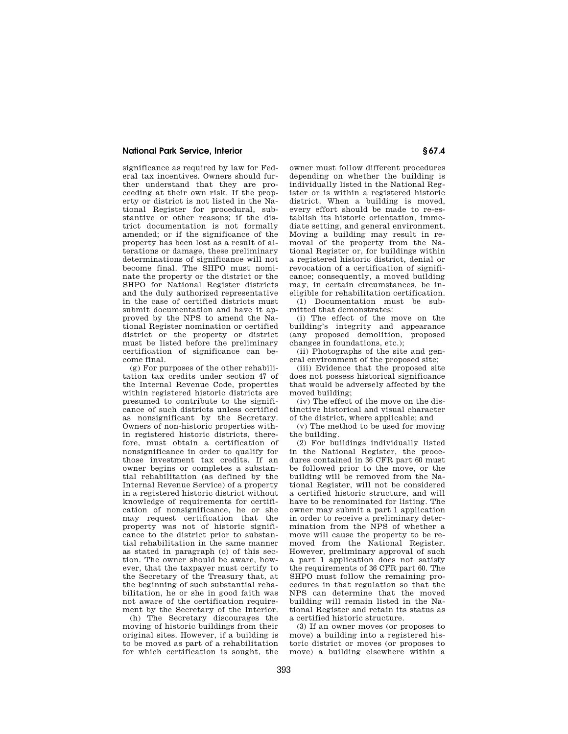significance as required by law for Federal tax incentives. Owners should further understand that they are proceeding at their own risk. If the property or district is not listed in the National Register for procedural, substantive or other reasons; if the district documentation is not formally amended; or if the significance of the property has been lost as a result of alterations or damage, these preliminary determinations of significance will not become final. The SHPO must nominate the property or the district or the SHPO for National Register districts and the duly authorized representative in the case of certified districts must submit documentation and have it approved by the NPS to amend the National Register nomination or certified district or the property or district must be listed before the preliminary certification of significance can become final.

(g) For purposes of the other rehabilitation tax credits under section 47 of the Internal Revenue Code, properties within registered historic districts are presumed to contribute to the significance of such districts unless certified as nonsignificant by the Secretary. Owners of non-historic properties within registered historic districts, therefore, must obtain a certification of nonsignificance in order to qualify for those investment tax credits. If an owner begins or completes a substantial rehabilitation (as defined by the Internal Revenue Service) of a property in a registered historic district without knowledge of requirements for certification of nonsignificance, he or she may request certification that the property was not of historic significance to the district prior to substantial rehabilitation in the same manner as stated in paragraph (c) of this section. The owner should be aware, however, that the taxpayer must certify to the Secretary of the Treasury that, at the beginning of such substantial rehabilitation, he or she in good faith was not aware of the certification requirement by the Secretary of the Interior.

(h) The Secretary discourages the moving of historic buildings from their original sites. However, if a building is to be moved as part of a rehabilitation for which certification is sought, the

owner must follow different procedures depending on whether the building is individually listed in the National Register or is within a registered historic district. When a building is moved. every effort should be made to re-establish its historic orientation, immediate setting, and general environment. Moving a building may result in removal of the property from the National Register or, for buildings within a registered historic district, denial or revocation of a certification of significance; consequently, a moved building may, in certain circumstances, be ineligible for rehabilitation certification.

(1) Documentation must be submitted that demonstrates:

(i) The effect of the move on the building's integrity and appearance (any proposed demolition, proposed changes in foundations, etc.);

(ii) Photographs of the site and general environment of the proposed site;

(iii) Evidence that the proposed site does not possess historical significance that would be adversely affected by the moved building;

(iv) The effect of the move on the distinctive historical and visual character of the district, where applicable; and

(v) The method to be used for moving the building.

(2) For buildings individually listed in the National Register, the procedures contained in 36 CFR part 60 must be followed prior to the move, or the building will be removed from the National Register, will not be considered a certified historic structure, and will have to be renominated for listing. The owner may submit a part 1 application in order to receive a preliminary determination from the NPS of whether a move will cause the property to be removed from the National Register. However, preliminary approval of such a part 1 application does not satisfy the requirements of 36 CFR part 60. The SHPO must follow the remaining procedures in that regulation so that the NPS can determine that the moved building will remain listed in the National Register and retain its status as a certified historic structure.

(3) If an owner moves (or proposes to move) a building into a registered historic district or moves (or proposes to move) a building elsewhere within a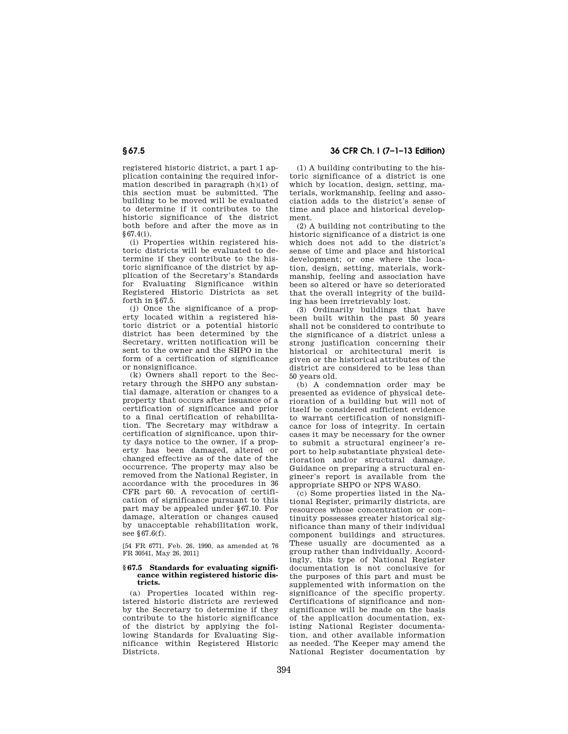registered historic district, a part 1 application containing the required information described in paragraph (h)(1) of this section must be submitted. The building to be moved will be evaluated to determine if it contributes to the historic significance of the district both before and after the move as in §67.4(i).

(i) Properties within registered historic districts will be evaluated to determine if they contribute to the historic significance of the district by application of the Secretary's Standards for Evaluating Significance within Registered Historic Districts as set forth in §67.5.

(j) Once the significance of a property located within a registered historic district or a potential historic district has been determined by the Secretary, written notification will be sent to the owner and the SHPO in the form of a certification of significance or nonsignificance.

(k) Owners shall report to the Secretary through the SHPO any substantial damage, alteration or changes to a property that occurs after issuance of a certification of significance and prior to a final certification of rehabilitation. The Secretary may withdraw a certification of significance, upon thirty days notice to the owner, if a property has been damaged, altered or changed effective as of the date of the occurrence. The property may also be removed from the National Register, in accordance with the procedures in 36 CFR part 60. A revocation of certification of significance pursuant to this part may be appealed under §67.10. For damage, alteration or changes caused by unacceptable rehabilitation work, see §67.6(f).

[54 FR 6771, Feb. 26, 1990, as amended at 76 FR 30541, May 26, 2011]

#### **§ 67.5 Standards for evaluating significance within registered historic districts.**

(a) Properties located within registered historic districts are reviewed by the Secretary to determine if they contribute to the historic significance of the district by applying the following Standards for Evaluating Significance within Registered Historic Districts.

**§ 67.5 36 CFR Ch. I (7–1–13 Edition)** 

(1) A building contributing to the historic significance of a district is one which by location, design, setting, materials, workmanship, feeling and association adds to the district's sense of time and place and historical development.

(2) A building not contributing to the historic significance of a district is one which does not add to the district's sense of time and place and historical development; or one where the location, design, setting, materials, workmanship, feeling and association have been so altered or have so deteriorated that the overall integrity of the building has been irretrievably lost.

(3) Ordinarily buildings that have been built within the past 50 years shall not be considered to contribute to the significance of a district unless a strong justification concerning their historical or architectural merit is given or the historical attributes of the district are considered to be less than 50 years old.

(b) A condemnation order may be presented as evidence of physical deterioration of a building but will not of itself be considered sufficient evidence to warrant certification of nonsignificance for loss of integrity. In certain cases it may be necessary for the owner to submit a structural engineer's report to help substantiate physical deterioration and/or structural damage. Guidance on preparing a structural engineer's report is available from the appropriate SHPO or NPS WASO.

(c) Some properties listed in the National Register, primarily districts, are resources whose concentration or continuity possesses greater historical significance than many of their individual component buildings and structures. These usually are documented as a group rather than individually. Accordingly, this type of National Register documentation is not conclusive for the purposes of this part and must be supplemented with information on the significance of the specific property. Certifications of significance and nonsignificance will be made on the basis of the application documentation, existing National Register documentation, and other available information as needed. The Keeper may amend the National Register documentation by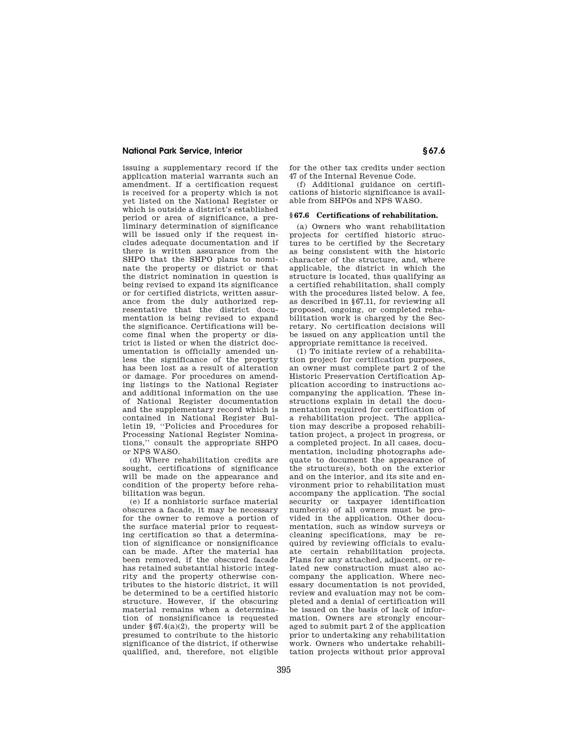issuing a supplementary record if the application material warrants such an amendment. If a certification request is received for a property which is not yet listed on the National Register or which is outside a district's established period or area of significance, a preliminary determination of significance will be issued only if the request includes adequate documentation and if there is written assurance from the SHPO that the SHPO plans to nominate the property or district or that the district nomination in question is being revised to expand its significance or for certified districts, written assurance from the duly authorized representative that the district documentation is being revised to expand the significance. Certifications will become final when the property or district is listed or when the district documentation is officially amended unless the significance of the property has been lost as a result of alteration or damage. For procedures on amending listings to the National Register and additional information on the use of National Register documentation and the supplementary record which is contained in National Register Bulletin 19, ''Policies and Procedures for Processing National Register Nominations,'' consult the appropriate SHPO or NPS WASO.

(d) Where rehabilitation credits are sought, certifications of significance will be made on the appearance and condition of the property before rehabilitation was begun.

(e) If a nonhistoric surface material obscures a facade, it may be necessary for the owner to remove a portion of the surface material prior to requesting certification so that a determination of significance or nonsignificance can be made. After the material has been removed, if the obscured facade has retained substantial historic integrity and the property otherwise contributes to the historic district, it will be determined to be a certified historic structure. However, if the obscuring material remains when a determination of nonsignificance is requested under  $\S 67.4(a)(2)$ , the property will be presumed to contribute to the historic significance of the district, if otherwise qualified, and, therefore, not eligible

for the other tax credits under section 47 of the Internal Revenue Code.

(f) Additional guidance on certifications of historic significance is available from SHPOs and NPS WASO.

#### **§ 67.6 Certifications of rehabilitation.**

(a) Owners who want rehabilitation projects for certified historic structures to be certified by the Secretary as being consistent with the historic character of the structure, and, where applicable, the district in which the structure is located, thus qualifying as a certified rehabilitation, shall comply with the procedures listed below. A fee, as described in §67.11, for reviewing all proposed, ongoing, or completed rehabilitation work is charged by the Secretary. No certification decisions will be issued on any application until the appropriate remittance is received.

(1) To initiate review of a rehabilitation project for certification purposes, an owner must complete part 2 of the Historic Preservation Certification Application according to instructions accompanying the application. These instructions explain in detail the documentation required for certification of a rehabilitation project. The application may describe a proposed rehabilitation project, a project in progress, or a completed project. In all cases, documentation, including photographs adequate to document the appearance of the structure(s), both on the exterior and on the interior, and its site and environment prior to rehabilitation must accompany the application. The social security or taxpayer identification number(s) of all owners must be provided in the application. Other documentation, such as window surveys or cleaning specifications, may be required by reviewing officials to evaluate certain rehabilitation projects. Plans for any attached, adjacent, or related new construction must also accompany the application. Where necessary documentation is not provided, review and evaluation may not be completed and a denial of certification will be issued on the basis of lack of information. Owners are strongly encouraged to submit part 2 of the application prior to undertaking any rehabilitation work. Owners who undertake rehabilitation projects without prior approval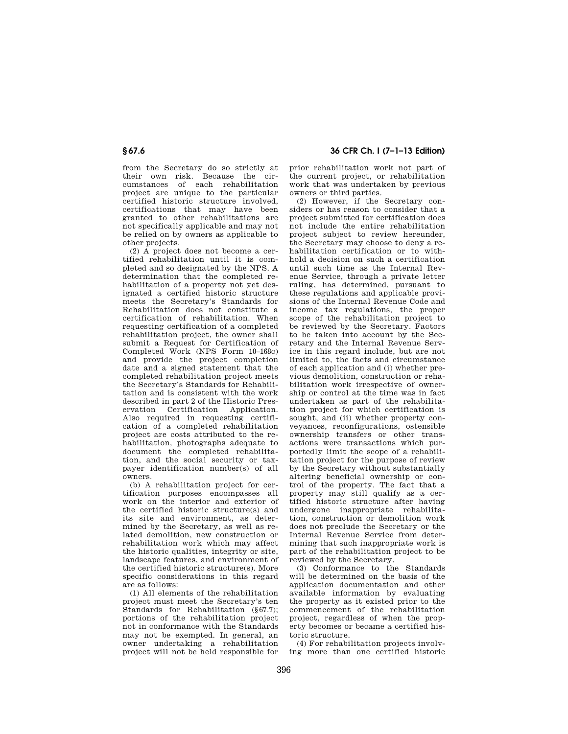from the Secretary do so strictly at their own risk. Because the circumstances of each rehabilitation project are unique to the particular certified historic structure involved, certifications that may have been granted to other rehabilitations are not specifically applicable and may not be relied on by owners as applicable to other projects.

(2) A project does not become a certified rehabilitation until it is completed and so designated by the NPS. A determination that the completed rehabilitation of a property not yet designated a certified historic structure meets the Secretary's Standards for Rehabilitation does not constitute a certification of rehabilitation. When requesting certification of a completed rehabilitation project, the owner shall submit a Request for Certification of Completed Work (NPS Form 10–168c) and provide the project completion date and a signed statement that the completed rehabilitation project meets the Secretary's Standards for Rehabilitation and is consistent with the work described in part 2 of the Historic Preservation Certification Application. Also required in requesting certification of a completed rehabilitation project are costs attributed to the rehabilitation, photographs adequate to document the completed rehabilitation, and the social security or taxpayer identification number(s) of all owners.

(b) A rehabilitation project for certification purposes encompasses all work on the interior and exterior of the certified historic structure(s) and its site and environment, as determined by the Secretary, as well as related demolition, new construction or rehabilitation work which may affect the historic qualities, integrity or site, landscape features, and environment of the certified historic structure(s). More specific considerations in this regard are as follows:

(1) All elements of the rehabilitation project must meet the Secretary's ten Standards for Rehabilitation (§67.7); portions of the rehabilitation project not in conformance with the Standards may not be exempted. In general, an owner undertaking a rehabilitation project will not be held responsible for

**§ 67.6 36 CFR Ch. I (7–1–13 Edition)** 

prior rehabilitation work not part of the current project, or rehabilitation work that was undertaken by previous owners or third parties.

(2) However, if the Secretary considers or has reason to consider that a project submitted for certification does not include the entire rehabilitation project subject to review hereunder, the Secretary may choose to deny a rehabilitation certification or to withhold a decision on such a certification until such time as the Internal Revenue Service, through a private letter ruling, has determined, pursuant to these regulations and applicable provisions of the Internal Revenue Code and income tax regulations, the proper scope of the rehabilitation project to be reviewed by the Secretary. Factors to be taken into account by the Secretary and the Internal Revenue Service in this regard include, but are not limited to, the facts and circumstance of each application and (i) whether previous demolition, construction or rehabilitation work irrespective of ownership or control at the time was in fact undertaken as part of the rehabilitation project for which certification is sought, and (ii) whether property conveyances, reconfigurations, ostensible ownership transfers or other transactions were transactions which purportedly limit the scope of a rehabilitation project for the purpose of review by the Secretary without substantially altering beneficial ownership or control of the property. The fact that a property may still qualify as a certified historic structure after having undergone inappropriate rehabilitation, construction or demolition work does not preclude the Secretary or the Internal Revenue Service from determining that such inappropriate work is part of the rehabilitation project to be reviewed by the Secretary.

(3) Conformance to the Standards will be determined on the basis of the application documentation and other available information by evaluating the property as it existed prior to the commencement of the rehabilitation project, regardless of when the property becomes or became a certified historic structure.

(4) For rehabilitation projects involving more than one certified historic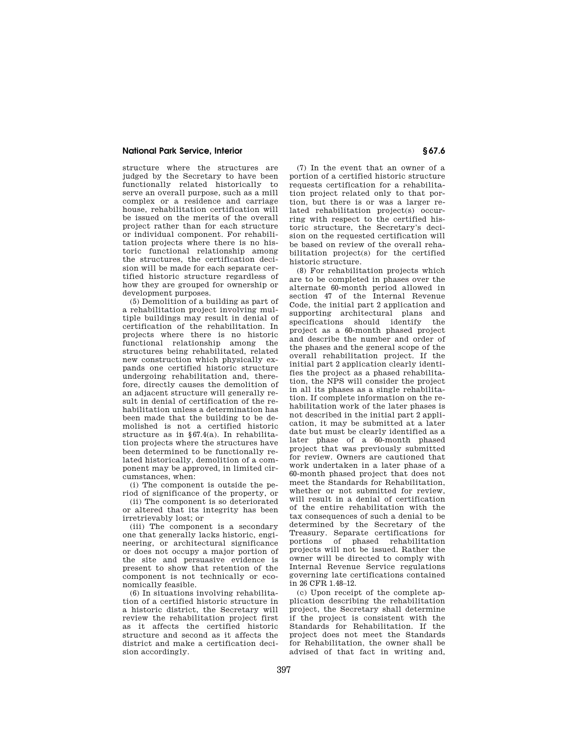structure where the structures are judged by the Secretary to have been functionally related historically to serve an overall purpose, such as a mill complex or a residence and carriage house, rehabilitation certification will be issued on the merits of the overall project rather than for each structure or individual component. For rehabilitation projects where there is no historic functional relationship among the structures, the certification decision will be made for each separate certified historic structure regardless of how they are grouped for ownership or development purposes.

(5) Demolition of a building as part of a rehabilitation project involving multiple buildings may result in denial of certification of the rehabilitation. In projects where there is no historic functional relationship among the structures being rehabilitated, related new construction which physically expands one certified historic structure undergoing rehabilitation and, therefore, directly causes the demolition of an adjacent structure will generally result in denial of certification of the rehabilitation unless a determination has been made that the building to be demolished is not a certified historic structure as in §67.4(a). In rehabilitation projects where the structures have been determined to be functionally related historically, demolition of a component may be approved, in limited circumstances, when:

(i) The component is outside the period of significance of the property, or

(ii) The component is so deteriorated or altered that its integrity has been irretrievably lost; or

(iii) The component is a secondary one that generally lacks historic, engineering, or architectural significance or does not occupy a major portion of the site and persuasive evidence is present to show that retention of the component is not technically or economically feasible.

(6) In situations involving rehabilitation of a certified historic structure in a historic district, the Secretary will review the rehabilitation project first as it affects the certified historic structure and second as it affects the district and make a certification decision accordingly.

(7) In the event that an owner of a portion of a certified historic structure requests certification for a rehabilitation project related only to that portion, but there is or was a larger related rehabilitation project(s) occurring with respect to the certified historic structure, the Secretary's decision on the requested certification will be based on review of the overall rehabilitation project(s) for the certified historic structure.

(8) For rehabilitation projects which are to be completed in phases over the alternate 60-month period allowed in section 47 of the Internal Revenue Code, the initial part 2 application and supporting architectural plans and specifications should identify the project as a 60-month phased project and describe the number and order of the phases and the general scope of the overall rehabilitation project. If the initial part 2 application clearly identifies the project as a phased rehabilitation, the NPS will consider the project in all its phases as a single rehabilitation. If complete information on the rehabilitation work of the later phases is not described in the initial part 2 application, it may be submitted at a later date but must be clearly identified as a later phase of a 60-month phased project that was previously submitted for review. Owners are cautioned that work undertaken in a later phase of a 60-month phased project that does not meet the Standards for Rehabilitation, whether or not submitted for review, will result in a denial of certification of the entire rehabilitation with the tax consequences of such a denial to be determined by the Secretary of the Treasury. Separate certifications for portions of phased rehabilitation projects will not be issued. Rather the owner will be directed to comply with Internal Revenue Service regulations governing late certifications contained in 26 CFR 1.48–12.

(c) Upon receipt of the complete application describing the rehabilitation project, the Secretary shall determine if the project is consistent with the Standards for Rehabilitation. If the project does not meet the Standards for Rehabilitation, the owner shall be advised of that fact in writing and,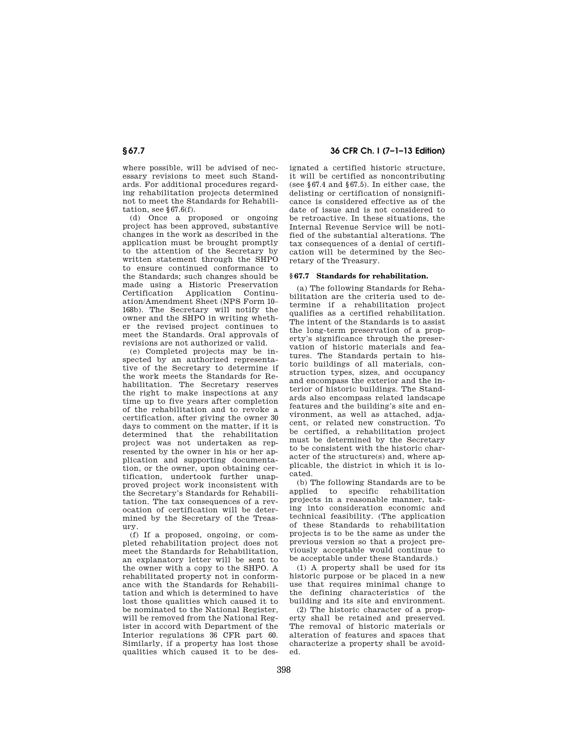where possible, will be advised of necessary revisions to meet such Standards. For additional procedures regarding rehabilitation projects determined not to meet the Standards for Rehabilitation, see  $§67.6(f)$ .

(d) Once a proposed or ongoing project has been approved, substantive changes in the work as described in the application must be brought promptly to the attention of the Secretary by written statement through the SHPO to ensure continued conformance to the Standards; such changes should be made using a Historic Preservation Certification Application Continuation/Amendment Sheet (NPS Form 10– 168b). The Secretary will notify the owner and the SHPO in writing whether the revised project continues to meet the Standards. Oral approvals of revisions are not authorized or valid.

(e) Completed projects may be inspected by an authorized representative of the Secretary to determine if the work meets the Standards for Rehabilitation. The Secretary reserves the right to make inspections at any time up to five years after completion of the rehabilitation and to revoke a certification, after giving the owner 30 days to comment on the matter, if it is determined that the rehabilitation project was not undertaken as represented by the owner in his or her application and supporting documentation, or the owner, upon obtaining certification, undertook further unapproved project work inconsistent with the Secretary's Standards for Rehabilitation. The tax consequences of a revocation of certification will be determined by the Secretary of the Treasury.

(f) If a proposed, ongoing, or completed rehabilitation project does not meet the Standards for Rehabilitation an explanatory letter will be sent to the owner with a copy to the SHPO. A rehabilitated property not in conformance with the Standards for Rehabilitation and which is determined to have lost those qualities which caused it to be nominated to the National Register, will be removed from the National Register in accord with Department of the Interior regulations 36 CFR part 60. Similarly, if a property has lost those qualities which caused it to be des-

# **§ 67.7 36 CFR Ch. I (7–1–13 Edition)**

ignated a certified historic structure, it will be certified as noncontributing (see §67.4 and §67.5). In either case, the delisting or certification of nonsignificance is considered effective as of the date of issue and is not considered to be retroactive. In these situations, the Internal Revenue Service will be notified of the substantial alterations. The tax consequences of a denial of certification will be determined by the Secretary of the Treasury.

## **§ 67.7 Standards for rehabilitation.**

(a) The following Standards for Rehabilitation are the criteria used to determine if a rehabilitation project qualifies as a certified rehabilitation. The intent of the Standards is to assist the long-term preservation of a property's significance through the preservation of historic materials and features. The Standards pertain to historic buildings of all materials, construction types, sizes, and occupancy and encompass the exterior and the interior of historic buildings. The Standards also encompass related landscape features and the building's site and environment, as well as attached, adjacent, or related new construction. To be certified, a rehabilitation project must be determined by the Secretary to be consistent with the historic character of the structure(s) and, where applicable, the district in which it is located.

(b) The following Standards are to be applied to specific rehabilitation projects in a reasonable manner, taking into consideration economic and technical feasibility. (The application of these Standards to rehabilitation projects is to be the same as under the previous version so that a project previously acceptable would continue to be acceptable under these Standards.)

(1) A property shall be used for its historic purpose or be placed in a new use that requires minimal change to the defining characteristics of the building and its site and environment.

(2) The historic character of a property shall be retained and preserved. The removal of historic materials or alteration of features and spaces that characterize a property shall be avoided.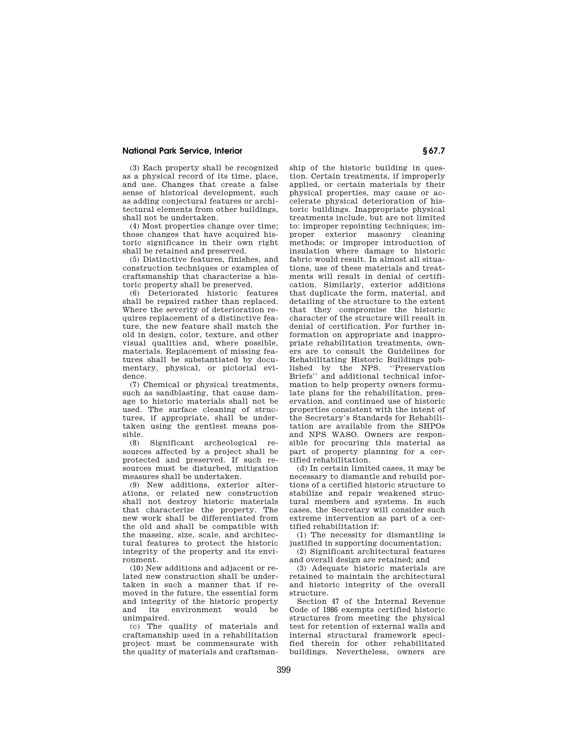(3) Each property shall be recognized as a physical record of its time, place, and use. Changes that create a false sense of historical development, such as adding conjectural features or architectural elements from other buildings, shall not be undertaken.

(4) Most properties change over time; those changes that have acquired historic significance in their own right shall be retained and preserved.

(5) Distinctive features, finishes, and construction techniques or examples of craftsmanship that characterize a historic property shall be preserved.

(6) Deteriorated historic features shall be repaired rather than replaced. Where the severity of deterioration requires replacement of a distinctive feature, the new feature shall match the old in design, color, texture, and other visual qualities and, where possible, materials. Replacement of missing features shall be substantiated by documentary, physical, or pictorial evidence.

(7) Chemical or physical treatments, such as sandblasting, that cause damage to historic materials shall not be used. The surface cleaning of structures, if appropriate, shall be undertaken using the gentlest means possible.

(8) Significant archeological resources affected by a project shall be protected and preserved. If such resources must be disturbed, mitigation measures shall be undertaken.

(9) New additions, exterior alterations, or related new construction shall not destroy historic materials that characterize the property. The new work shall be differentiated from the old and shall be compatible with the massing, size, scale, and architectural features to protect the historic integrity of the property and its environment.

(10) New additions and adjacent or related new construction shall be undertaken in such a manner that if removed in the future, the essential form and integrity of the historic property<br>and its environment would be environment unimpaired.

(c) The quality of materials and craftsmanship used in a rehabilitation project must be commensurate with the quality of materials and craftsmanship of the historic building in question. Certain treatments, if improperly applied, or certain materials by their physical properties, may cause or accelerate physical deterioration of historic buildings. Inappropriate physical treatments include, but are not limited to: improper repointing techniques; improper exterior masonry cleaning methods; or improper introduction of insulation where damage to historic fabric would result. In almost all situations, use of these materials and treatments will result in denial of certification. Similarly, exterior additions that duplicate the form, material, and detailing of the structure to the extent that they compromise the historic character of the structure will result in denial of certification. For further information on appropriate and inappropriate rehabilitation treatments, owners are to consult the Guidelines for Rehabilitating Historic Buildings published by the NPS. ''Preservation Briefs'' and additional technical information to help property owners formulate plans for the rehabilitation, preservation, and continued use of historic properties consistent with the intent of the Secretary's Standards for Rehabilitation are available from the SHPOs and NPS WASO. Owners are responsible for procuring this material as part of property planning for a certified rehabilitation.

(d) In certain limited cases, it may be necessary to dismantle and rebuild portions of a certified historic structure to stabilize and repair weakened structural members and systems. In such cases, the Secretary will consider such extreme intervention as part of a certified rehabilitation if:

(1) The necessity for dismantling is justified in supporting documentation;

(2) Significant architectural features and overall design are retained; and

(3) Adequate historic materials are retained to maintain the architectural and historic integrity of the overall structure.

Section 47 of the Internal Revenue Code of 1986 exempts certified historic structures from meeting the physical test for retention of external walls and internal structural framework specified therein for other rehabilitated buildings. Nevertheless, owners are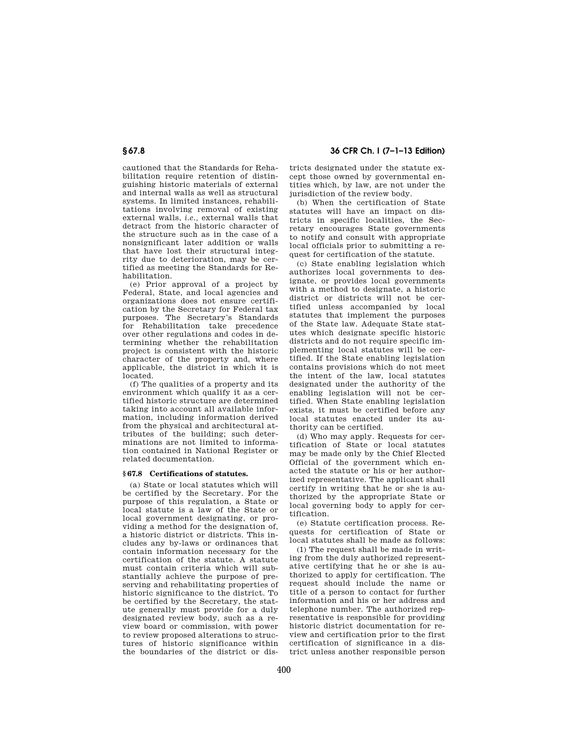# **§ 67.8 36 CFR Ch. I (7–1–13 Edition)**

cautioned that the Standards for Rehabilitation require retention of distinguishing historic materials of external and internal walls as well as structural systems. In limited instances, rehabilitations involving removal of existing external walls, *i.e.,* external walls that detract from the historic character of the structure such as in the case of a nonsignificant later addition or walls that have lost their structural integrity due to deterioration, may be certified as meeting the Standards for Rehabilitation.

(e) Prior approval of a project by Federal, State, and local agencies and organizations does not ensure certification by the Secretary for Federal tax purposes. The Secretary's Standards for Rehabilitation take precedence over other regulations and codes in determining whether the rehabilitation project is consistent with the historic character of the property and, where applicable, the district in which it is located.

(f) The qualities of a property and its environment which qualify it as a certified historic structure are determined taking into account all available information, including information derived from the physical and architectural attributes of the building; such determinations are not limited to information contained in National Register or related documentation.

## **§ 67.8 Certifications of statutes.**

(a) State or local statutes which will be certified by the Secretary. For the purpose of this regulation, a State or local statute is a law of the State or local government designating, or providing a method for the designation of, a historic district or districts. This includes any by-laws or ordinances that contain information necessary for the certification of the statute. A statute must contain criteria which will substantially achieve the purpose of preserving and rehabilitating properties of historic significance to the district. To be certified by the Secretary, the statute generally must provide for a duly designated review body, such as a review board or commission, with power to review proposed alterations to structures of historic significance within the boundaries of the district or dis-

tricts designated under the statute except those owned by governmental entities which, by law, are not under the jurisdiction of the review body.

(b) When the certification of State statutes will have an impact on districts in specific localities, the Secretary encourages State governments to notify and consult with appropriate local officials prior to submitting a request for certification of the statute.

(c) State enabling legislation which authorizes local governments to designate, or provides local governments with a method to designate, a historic district or districts will not be certified unless accompanied by local statutes that implement the purposes of the State law. Adequate State statutes which designate specific historic districts and do not require specific implementing local statutes will be certified. If the State enabling legislation contains provisions which do not meet the intent of the law, local statutes designated under the authority of the enabling legislation will not be certified. When State enabling legislation exists, it must be certified before any local statutes enacted under its authority can be certified.

(d) Who may apply. Requests for certification of State or local statutes may be made only by the Chief Elected Official of the government which enacted the statute or his or her authorized representative. The applicant shall certify in writing that he or she is authorized by the appropriate State or local governing body to apply for certification.

(e) Statute certification process. Requests for certification of State or local statutes shall be made as follows:

(1) The request shall be made in writing from the duly authorized representative certifying that he or she is authorized to apply for certification. The request should include the name or title of a person to contact for further information and his or her address and telephone number. The authorized representative is responsible for providing historic district documentation for review and certification prior to the first certification of significance in a district unless another responsible person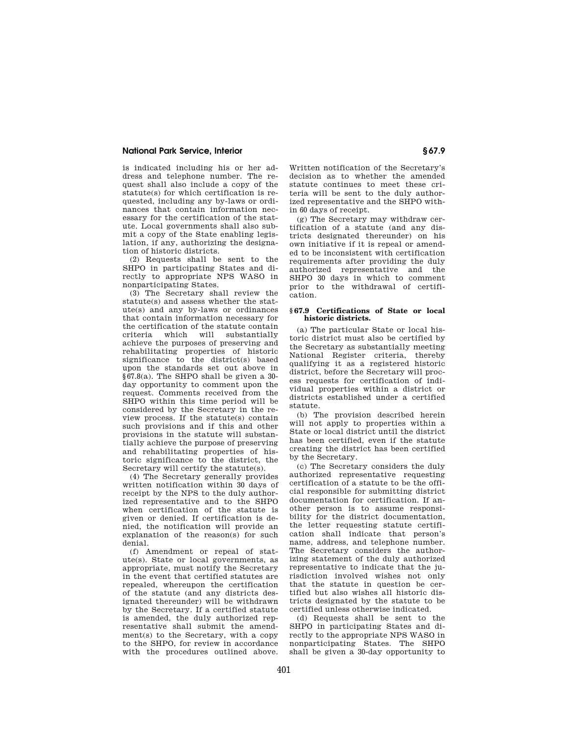is indicated including his or her address and telephone number. The request shall also include a copy of the statute(s) for which certification is requested, including any by-laws or ordinances that contain information necessary for the certification of the statute. Local governments shall also submit a copy of the State enabling legislation, if any, authorizing the designation of historic districts.

(2) Requests shall be sent to the SHPO in participating States and directly to appropriate NPS WASO in nonparticipating States.

(3) The Secretary shall review the statute(s) and assess whether the statute(s) and any by-laws or ordinances that contain information necessary for the certification of the statute contain<br>criteria which will substantially which will substantially achieve the purposes of preserving and rehabilitating properties of historic significance to the district(s) based upon the standards set out above in §67.8(a). The SHPO shall be given a 30 day opportunity to comment upon the request. Comments received from the SHPO within this time period will be considered by the Secretary in the review process. If the statute(s) contain such provisions and if this and other provisions in the statute will substantially achieve the purpose of preserving and rehabilitating properties of historic significance to the district, the Secretary will certify the statute(s).

(4) The Secretary generally provides written notification within 30 days of receipt by the NPS to the duly authorized representative and to the SHPO when certification of the statute is given or denied. If certification is denied, the notification will provide an explanation of the reason(s) for such denial.

(f) Amendment or repeal of statute(s). State or local governments, as appropriate, must notify the Secretary in the event that certified statutes are repealed, whereupon the certification of the statute (and any districts designated thereunder) will be withdrawn by the Secretary. If a certified statute is amended, the duly authorized representative shall submit the amendment(s) to the Secretary, with a copy to the SHPO, for review in accordance with the procedures outlined above.

Written notification of the Secretary's decision as to whether the amended statute continues to meet these criteria will be sent to the duly authorized representative and the SHPO within 60 days of receipt.

(g) The Secretary may withdraw certification of a statute (and any districts designated thereunder) on his own initiative if it is repeal or amended to be inconsistent with certification requirements after providing the duly authorized representative and the SHPO 30 days in which to comment prior to the withdrawal of certification.

### **§ 67.9 Certifications of State or local historic districts.**

(a) The particular State or local historic district must also be certified by the Secretary as substantially meeting National Register criteria, thereby qualifying it as a registered historic district, before the Secretary will process requests for certification of individual properties within a district or districts established under a certified statute.

(b) The provision described herein will not apply to properties within a State or local district until the district has been certified, even if the statute creating the district has been certified by the Secretary.

(c) The Secretary considers the duly authorized representative requesting certification of a statute to be the official responsible for submitting district documentation for certification. If another person is to assume responsibility for the district documentation, the letter requesting statute certification shall indicate that person's name, address, and telephone number. The Secretary considers the authorizing statement of the duly authorized representative to indicate that the jurisdiction involved wishes not only that the statute in question be certified but also wishes all historic districts designated by the statute to be certified unless otherwise indicated.

(d) Requests shall be sent to the SHPO in participating States and directly to the appropriate NPS WASO in nonparticipating States. The SHPO shall be given a 30-day opportunity to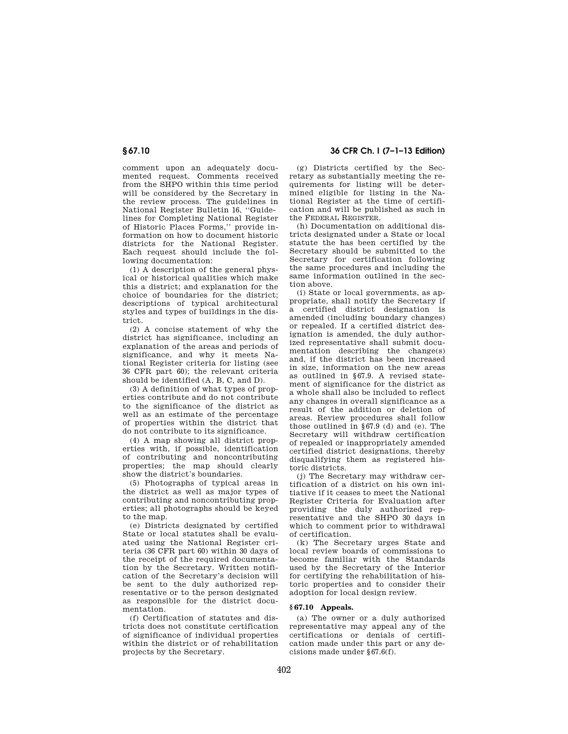# **§ 67.10 36 CFR Ch. I (7–1–13 Edition)**

comment upon an adequately documented request. Comments received from the SHPO within this time period will be considered by the Secretary in the review process. The guidelines in National Register Bulletin 16, ''Guidelines for Completing National Register of Historic Places Forms,'' provide information on how to document historic districts for the National Register. Each request should include the following documentation:

(1) A description of the general physical or historical qualities which make this a district; and explanation for the choice of boundaries for the district; descriptions of typical architectural styles and types of buildings in the district.

(2) A concise statement of why the district has significance, including an explanation of the areas and periods of significance, and why it meets National Register criteria for listing (see 36 CFR part 60); the relevant criteria should be identified (A, B, C, and D).

(3) A definition of what types of properties contribute and do not contribute to the significance of the district as well as an estimate of the percentage of properties within the district that do not contribute to its significance.

(4) A map showing all district properties with, if possible, identification of contributing and noncontributing properties; the map should clearly show the district's boundaries.

(5) Photographs of typical areas in the district as well as major types of contributing and noncontributing properties; all photographs should be keyed to the map.

(e) Districts designated by certified State or local statutes shall be evaluated using the National Register criteria (36 CFR part 60) within 30 days of the receipt of the required documentation by the Secretary. Written notification of the Secretary's decision will be sent to the duly authorized representative or to the person designated as responsible for the district documentation.

(f) Certification of statutes and districts does not constitute certification of significance of individual properties within the district or of rehabilitation projects by the Secretary.

(g) Districts certified by the Secretary as substantially meeting the requirements for listing will be determined eligible for listing in the National Register at the time of certification and will be published as such in the FEDERAL REGISTER.

(h) Documentation on additional districts designated under a State or local statute the has been certified by the Secretary should be submitted to the Secretary for certification following the same procedures and including the same information outlined in the section above.

(i) State or local governments, as appropriate, shall notify the Secretary if a certified district designation is amended (including boundary changes) or repealed. If a certified district designation is amended, the duly authorized representative shall submit documentation describing the change(s) and, if the district has been increased in size, information on the new areas as outlined in §67.9. A revised statement of significance for the district as a whole shall also be included to reflect any changes in overall significance as a result of the addition or deletion of areas. Review procedures shall follow those outlined in §67.9 (d) and (e). The Secretary will withdraw certification of repealed or inappropriately amended certified district designations, thereby disqualifying them as registered historic districts.

(j) The Secretary may withdraw certification of a district on his own initiative if it ceases to meet the National Register Criteria for Evaluation after providing the duly authorized representative and the SHPO 30 days in which to comment prior to withdrawal of certification.

(k) The Secretary urges State and local review boards of commissions to become familiar with the Standards used by the Secretary of the Interior for certifying the rehabilitation of historic properties and to consider their adoption for local design review.

# **§ 67.10 Appeals.**

(a) The owner or a duly authorized representative may appeal any of the certifications or denials of certification made under this part or any decisions made under  $§67.6(f)$ .